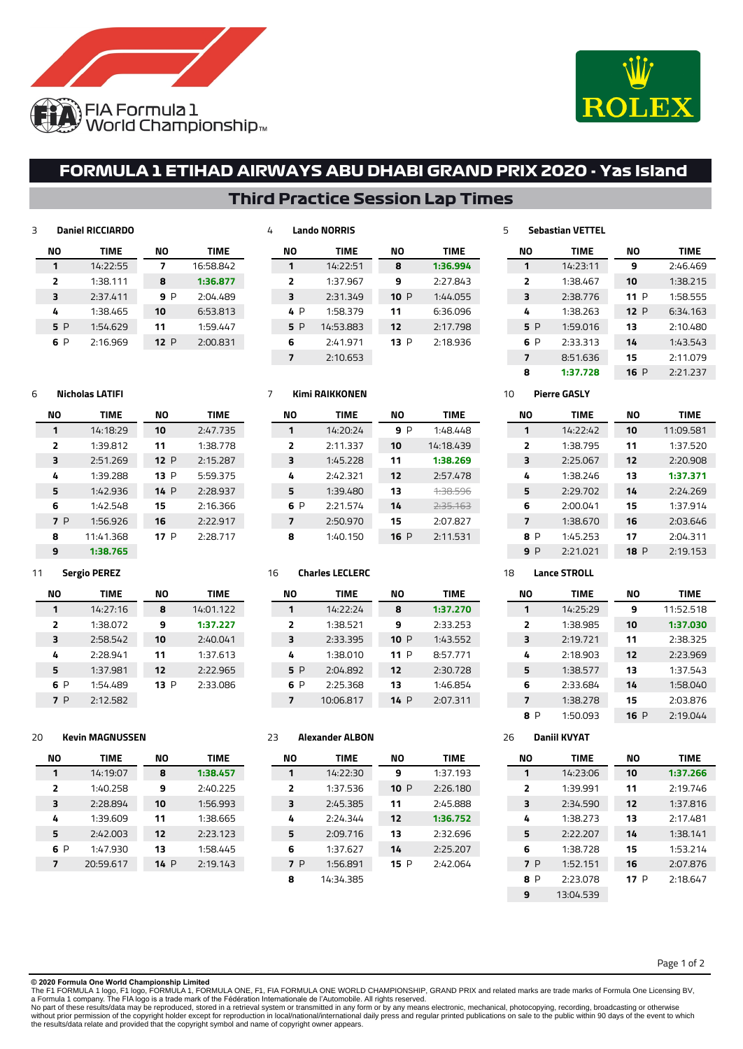



 2:20.908 **1:37.371** 2:24.269 1:37.914 2:03.646 2:04.311 P 2:19.153

**NO TIME** 11:52.518 **1:37.030** 2:38.325 2:23.969 1:37.543 1:58.040 2:03.876 P 2:19.044

# **FORMULA 1 ETIHAD AIRWAYS ABU DHABI GRAND PRIX 2020 - Yas Island**

## **Third Practice Session Lap Times**

| 3 |                | <b>Daniel RICCIARDO</b> |     |           | 4 |                          | <b>Lando NORRIS</b>   |     |             | 5  |                | <b>Sebastian VETTEL</b> |     |             |
|---|----------------|-------------------------|-----|-----------|---|--------------------------|-----------------------|-----|-------------|----|----------------|-------------------------|-----|-------------|
|   | ΝO             | <b>TIME</b>             | ΝO  | TIME      |   | ΝO                       | <b>TIME</b>           | ΝO  | <b>TIME</b> |    | ΝO             | TIME                    | ΝO  | <b>TIME</b> |
|   |                | 14:22:55                | 7   | 16:58.842 |   | 1                        | 14:22:51              | 8   | 1:36.994    |    |                | 14:23:11                | 9   | 2:46.469    |
|   | $\overline{2}$ | 1:38.111                | 8   | 1:36.877  |   | 2                        | 1:37.967              | 9   | 2:27.843    |    | $\overline{2}$ | 1:38.467                | 10  | 1:38.215    |
|   | 3              | 2:37.411                | 9P  | 2:04.489  |   | з                        | 2:31.349              | 10P | 1:44.055    |    | 3              | 2:38.776                | 11P | 1:58.555    |
|   | 4              | 1:38.465                | 10  | 6:53.813  |   | 4 P                      | 1:58.379              | 11  | 6:36.096    |    | 4              | 1:38.263                | 12P | 6:34.163    |
|   | 5 P            | 1:54.629                | 11  | 1:59.447  |   | 5 P                      | 14:53.883             | 12  | 2:17.798    |    | 5 P            | 1:59.016                | 13  | 2:10.480    |
|   | 6 P            | 2:16.969                | 12P | 2:00.831  |   | 6                        | 2:41.971              | 13P | 2:18.936    |    | 6 P            | 2:33.313                | 14  | 1:43.543    |
|   |                |                         |     |           |   | $\overline{\phantom{a}}$ | 2:10.653              |     |             |    | $\overline{7}$ | 8:51.636                | 15  | 2:11.079    |
|   |                |                         |     |           |   |                          |                       |     |             |    | 8              | 1:37.728                | 16P | 2:21.237    |
| 6 |                | <b>Nicholas LATIFI</b>  |     |           | 7 |                          | <b>Kimi RAIKKONEN</b> |     |             | 10 |                | <b>Pierre GASLY</b>     |     |             |
|   | <b>NO</b>      | <b>TIME</b>             | ΝO  | TIME      |   | <b>NO</b>                | TIME                  | ΝO  | <b>TIME</b> |    | ΝO             | <b>TIME</b>             | ΝO  | <b>TIME</b> |
|   |                | 14:18:29                | 10  | 2:47.735  |   | $\mathbf 1$              | 14:20:24              | 9P  | 1:48.448    |    |                | 14:22:42                | 10  | 11:09.581   |
|   | $\overline{2}$ | 1:39.812                | 11  | 1:38.778  |   | 2                        | 2:11.337              | 10  | 14:18.439   |    | 2              | 1:38.795                | 11  | 1:37.520    |

| $\overline{2}$ | 1:39.812  | 11   | 1:38.778 |
|----------------|-----------|------|----------|
| 3              | 2:51.269  | 12P  | 2:15.287 |
| 4              | 1:39.288  | 13 P | 5:59.375 |
| 5              | 1:42.936  | 14P  | 2:28.937 |
| 6              | 1:42.548  | 15   | 2:16.366 |
| 7 P            | 1:56.926  | 16   | 2:22.917 |
| 8              | 11:41.368 | 17 P | 2:28.717 |
| ۹              | 1:38.765  |      |          |

**NO TIME** 14:01.122 **1:37.227** 2:40.041 1:37.613 2:22.965 P 2:33.086

| NΟ             | <b>TIME</b> | NΟ   | <b>TIME</b>         |
|----------------|-------------|------|---------------------|
| 1              | 14:20:24    | 9 P  | 1:48.448            |
| $\overline{2}$ | 2:11.337    | 10   | 14:18.439           |
| 3              | 1:45.228    | 11   | 1:38.269            |
| 4              | 2:42.321    | 12   | 2:57.478            |
| 5              | 1:39.480    | 13   | 1.38.596            |
| 6 P            | 2:21.574    | 14   | <del>2:35.163</del> |
| 7              | 2:50.970    | 15   | 2:07.827            |
| 8              | 1:40.150    | 16 P | 2:11.531            |

## **Charles LECLERC**

| NΟ             | <b>TIME</b> | NΟ   | TIME     |  |  |
|----------------|-------------|------|----------|--|--|
| 1              | 14:22:24    | 8    | 1:37.270 |  |  |
| $\overline{2}$ | 1:38.521    | 9    | 2:33.253 |  |  |
| 3              | 2:33.395    | 10P  | 1:43.552 |  |  |
| 4              | 1:38.010    | 11 P | 8:57.771 |  |  |
| 5 P            | 2:04.892    | 12   | 2:30.728 |  |  |
| 6 P            | 2:25.368    | 13   | 1:46.854 |  |  |
| 7              | 10:06.817   | 14 P | 2:07.311 |  |  |

## **Kevin MAGNUSSEN**

**Sergio PEREZ**

**NO TIME** 14:27:16 1:38.072 2:58.542 2:28.941 1:37.981 P 1:54.489 P 2:12.582

| NΟ             | <b>TIME</b> | NΟ   | <b>TIME</b> |
|----------------|-------------|------|-------------|
| 1              | 14:19:07    | 8    | 1:38.457    |
| $\overline{2}$ | 1:40.258    | 9    | 2:40.225    |
| 3              | 2:28.894    | 10   | 1:56.993    |
| 4              | 1:39.609    | 11   | 1:38.665    |
| 5              | 2:42.003    | 12   | 2:23.123    |
| 6 P            | 1:47.930    | 13   | 1:58.445    |
| 7              | 20:59.617   | 14 P | 2:19.143    |

## **Alexander ALBON**

| NΟ             | <b>TIME</b> | NΟ   | <b>TIME</b> |
|----------------|-------------|------|-------------|
| 1              | 14:22:30    | 9    | 1:37.193    |
| $\overline{2}$ | 1:37.536    | 10 P | 2:26.180    |
| 3              | 2:45.385    | 11   | 2:45.888    |
| 4              | 2:24.344    | 12   | 1:36.752    |
| 5              | 2:09.716    | 13   | 2:32.696    |
| 6              | 1:37.627    | 14   | 2:25.207    |
| 7 P            | 1:56.891    | 15 P | 2:42.064    |
| я              | 14:34.385   |      |             |

## **Daniil KVYAT**

**Lance STROLL**

**NO TIME** 14:25:29 1:38.985 2:19.721 2:18.903 1:38.577 2:33.684 1:38.278 P 1:50.093

 2:25.067 1:38.246 2:29.702 2:00.041 1:38.670 P 1:45.253 P 2:21.021

| NΟ             | <b>TIME</b> | NΟ   | <b>TIME</b> |
|----------------|-------------|------|-------------|
| 1              | 14:23:06    | 10   | 1:37.266    |
| $\overline{2}$ | 1:39.991    | 11   | 2:19.746    |
| 3              | 2:34.590    | 12   | 1:37.816    |
| 4              | 1:38.273    | 13   | 2:17.481    |
| 5              | 2:22.207    | 14   | 1:38.141    |
| 6              | 1:38.728    | 15   | 1:53.214    |
| 7 P            | 1:52.151    | 16   | 2:07.876    |
| 8 P            | 2:23.078    | 17 P | 2:18.647    |
| 9              | 13:04.539   |      |             |

Page 1 of 2

**© 2020 Formula One World Championship Limited**

The F1 FORMULA 1 logo, F1 logo, FORMULA 1, FORMULA ONE, F1, FIA FORMULA ONE WORLD CHAMPIONSHIP, GRAND PRIX and related marks are trade marks of Formula One Licensing BV,<br>No part of these results/data may be reproduced, sto